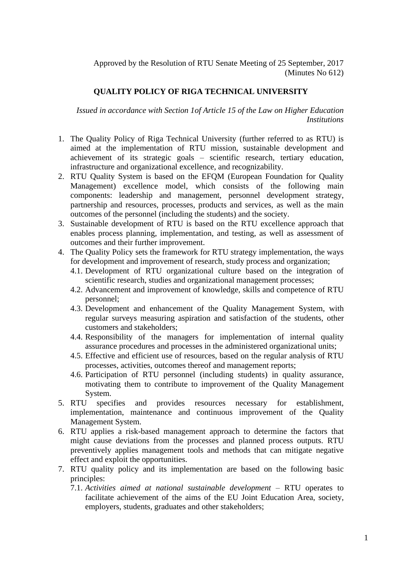Approved by the Resolution of RTU Senate Meeting of 25 September, 2017 (Minutes No 612)

## **QUALITY POLICY OF RIGA TECHNICAL UNIVERSITY**

*Issued in accordance with Section 1of Article 15 of the Law on Higher Education Institutions* 

- 1. The Quality Policy of Riga Technical University (further referred to as RTU) is aimed at the implementation of RTU mission, sustainable development and achievement of its strategic goals – scientific research, tertiary education, infrastructure and organizational excellence, and recognizability.
- 2. RTU Quality System is based on the EFQM (European Foundation for Quality Management) excellence model, which consists of the following main components: leadership and management, personnel development strategy, partnership and resources, processes, products and services, as well as the main outcomes of the personnel (including the students) and the society.
- 3. Sustainable development of RTU is based on the RTU excellence approach that enables process planning, implementation, and testing, as well as assessment of outcomes and their further improvement.
- 4. The Quality Policy sets the framework for RTU strategy implementation, the ways for development and improvement of research, study process and organization;
	- 4.1. Development of RTU organizational culture based on the integration of scientific research, studies and organizational management processes;
	- 4.2. Advancement and improvement of knowledge, skills and competence of RTU personnel;
	- 4.3. Development and enhancement of the Quality Management System, with regular surveys measuring aspiration and satisfaction of the students, other customers and stakeholders;
	- 4.4. Responsibility of the managers for implementation of internal quality assurance procedures and processes in the administered organizational units;
	- 4.5. Effective and efficient use of resources, based on the regular analysis of RTU processes, activities, outcomes thereof and management reports;
	- 4.6. Participation of RTU personnel (including students) in quality assurance, motivating them to contribute to improvement of the Quality Management System.
- 5. RTU specifies and provides resources necessary for establishment, implementation, maintenance and continuous improvement of the Quality Management System.
- 6. RTU applies a risk-based management approach to determine the factors that might cause deviations from the processes and planned process outputs. RTU preventively applies management tools and methods that can mitigate negative effect and exploit the opportunities.
- 7. RTU quality policy and its implementation are based on the following basic principles:
	- 7.1. *Activities aimed at national sustainable development* RTU operates to facilitate achievement of the aims of the EU Joint Education Area, society, employers, students, graduates and other stakeholders;